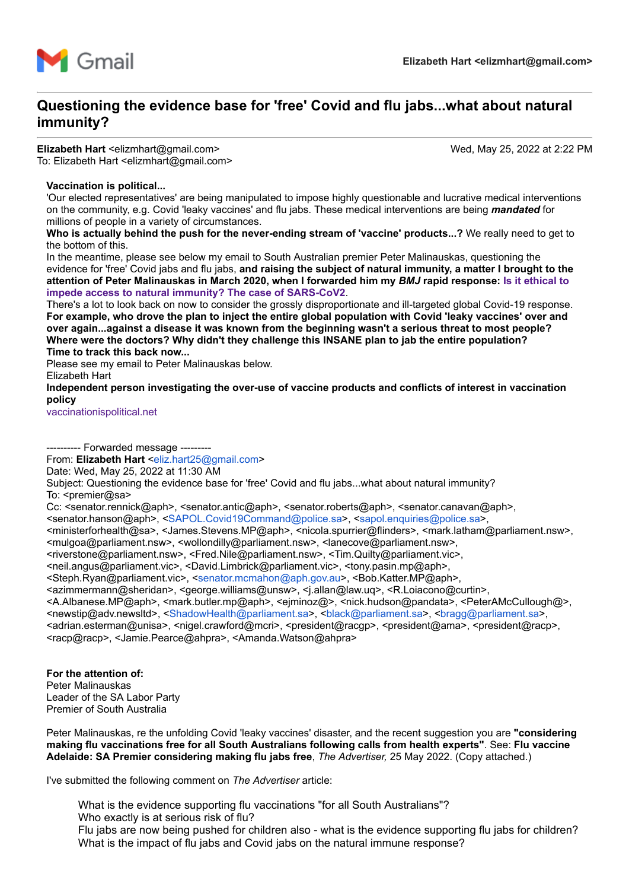

# **Questioning the evidence base for 'free' Covid and flu jabs...what about natural immunity?**

## Elizabeth Hart <elizmhart@gmail.com> Wed, May 25, 2022 at 2:22 PM

To: Elizabeth Hart <elizmhart@gmail.com>

## **Vaccination is political...**

'Our elected representatives' are being manipulated to impose highly questionable and lucrative medical interventions on the community, e.g. Covid 'leaky vaccines' and flu jabs. These medical interventions are being *mandated* for millions of people in a variety of circumstances.

**Who is actually behind the push for the never-ending stream of 'vaccine' products...?** We really need to get to the bottom of this.

In the meantime, please see below my email to South Australian premier Peter Malinauskas, questioning the evidence for 'free' Covid jabs and flu jabs, **and raising the subject of natural immunity, a matter I brought to the [attention of Peter Malinauskas in March 2020, when I forwarded him my](https://www.bmj.com/content/368/bmj.m1089/rr-6)** *BMJ* **rapid response: Is it ethical to impede access to natural immunity? The case of SARS-CoV2**.

There's a lot to look back on now to consider the grossly disproportionate and ill-targeted global Covid-19 response. **For example, who drove the plan to inject the entire global population with Covid 'leaky vaccines' over and over again...against a disease it was known from the beginning wasn't a serious threat to most people? Where were the doctors? Why didn't they challenge this INSANE plan to jab the entire population? Time to track this back now...**

Please see my email to Peter Malinauskas below.

Elizabeth Hart

**Independent person investigating the over-use of vaccine products and conflicts of interest in vaccination policy**

[vaccinationispolitical.net](http://vaccinationispolitical.net/)

------- Forwarded message ---------From: **Elizabeth Hart** [<eliz.hart25@gmail.com>](mailto:eliz.hart25@gmail.com)

Date: Wed, May 25, 2022 at 11:30 AM

Subject: Questioning the evidence base for 'free' Covid and flu jabs...what about natural immunity? To:  $\leq$ premier@sa>

Cc: <senator.rennick@aph>, <senator.antic@aph>, <senator.roberts@aph>, <senator.canavan@aph>,

<senator.hanson@aph>, <[SAPOL.Covid19Command@police.sa>](mailto:SAPOL.Covid19Command@police.sa), [<sapol.enquiries@police.sa](mailto:sapol.enquiries@police.sa)>,

<ministerforhealth@sa>, <James.Stevens.MP@aph>, <nicola.spurrier@flinders>, <mark.latham@parliament.nsw>, <mulgoa@parliament.nsw>, <wollondilly@parliament.nsw>, <lanecove@parliament.nsw>,

<riverstone@parliament.nsw>, <Fred.Nile@parliament.nsw>, <Tim.Quilty@parliament.vic>,

<neil.angus@parliament.vic>, <David.Limbrick@parliament.vic>, <tony.pasin.mp@aph>,

<Steph.Ryan@parliament.vic>, [<senator.mcmahon@aph.gov.au](mailto:senator.mcmahon@aph.gov.au)>, <Bob.Katter.MP@aph>,

<azimmermann@sheridan>, <george.williams@unsw>, <j.allan@law.uq>, <R.Loiacono@curtin>,

<A.Albanese.MP@aph>, <mark.butler.mp@aph>, <ejminoz@>, <nick.hudson@pandata>, <PeterAMcCullough@>, <newstip@adv.newsltd>, [<ShadowHealth@parliament.sa](mailto:ShadowHealth@parliament.sa)>, <[black@parliament.sa](mailto:black@parliament.sa)>, <[bragg@parliament.sa>](mailto:bragg@parliament.sa),

<adrian.esterman@unisa>, <nigel.crawford@mcri>, <president@racgp>, <president@ama>, <president@racp>, <racp@racp>, <Jamie.Pearce@ahpra>, <Amanda.Watson@ahpra>

**For the attention of:** Peter Malinauskas Leader of the SA Labor Party Premier of South Australia

Peter Malinauskas, re the unfolding Covid 'leaky vaccines' disaster, and the recent suggestion you are **"considering making flu vaccinations free for all South Australians following calls from health experts"**. See: **Flu vaccine Adelaide: SA Premier considering making flu jabs free**, *The Advertiser,* 25 May 2022. (Copy attached.)

I've submitted the following comment on *The Advertiser* article:

What is the evidence supporting flu vaccinations "for all South Australians"? Who exactly is at serious risk of flu? Flu jabs are now being pushed for children also - what is the evidence supporting flu jabs for children? What is the impact of flu jabs and Covid jabs on the natural immune response?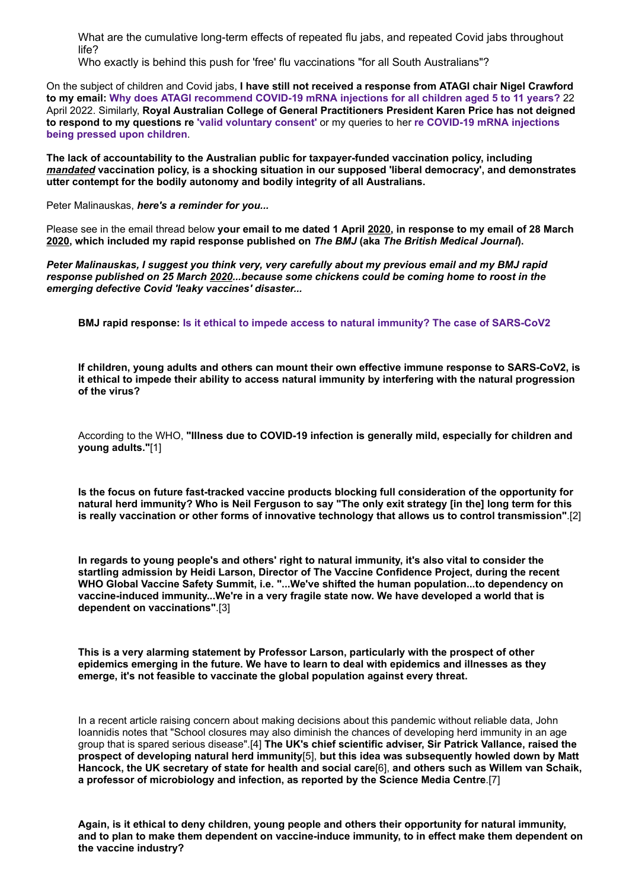What are the cumulative long-term effects of repeated flu jabs, and repeated Covid jabs throughout life?

Who exactly is behind this push for 'free' flu vaccinations "for all South Australians"?

On the subject of children and Covid jabs, **I have still not received a response from ATAGI chair Nigel Crawford to my email: [Why does ATAGI recommend COVID-19 mRNA injections for all children aged 5 to 11 years?](https://vaccinationispolitical.files.wordpress.com/2022/04/why-does-atagi-recommend-covid-19-mrna-injections-for-all-children-aged-5-to-11-years.pdf)** 22 April 2022. Similarly, **Royal Australian College of General Practitioners President Karen Price has not deigned [to respond to my questions re](https://vaccinationispolitical.files.wordpress.com/2022/05/why-does-atagi-recommend-covid-19-mrna-injections-for-all-children-aged-5-to-11-years_-email-to-karen-price-president-of-the-racgp.pdf) ['valid voluntary consent'](https://vaccinationispolitical.files.wordpress.com/2022/03/covid-19-jab-mandates-overriding-valid-voluntary-consent-email-to-the-president-of-the-royal-australian-college-of-general-practitioners.pdf)** or my queries to her **re COVID-19 mRNA injections being pressed upon children**.

**The lack of accountability to the Australian public for taxpayer-funded vaccination policy, including** *mandated* **vaccination policy, is a shocking situation in our supposed 'liberal democracy', and demonstrates utter contempt for the bodily autonomy and bodily integrity of all Australians.**

Peter Malinauskas, *here's a reminder for you...*

Please see in the email thread below **your email to me dated 1 April 2020, in response to my email of 28 March 2020, which included my rapid response published on** *The BMJ* **(aka** *The British Medical Journal***).**

*Peter Malinauskas, I suggest you think very, very carefully about my previous email and my BMJ rapid response published on 25 March 2020...because some chickens could be coming home to roost in the emerging defective Covid 'leaky vaccines' disaster...*

**BMJ rapid response: [Is it ethical to impede access to natural immunity? The case of SARS-CoV2](https://www.bmj.com/content/368/bmj.m1089/rr-6)**

**If children, young adults and others can mount their own effective immune response to SARS-CoV2, is it ethical to impede their ability to access natural immunity by interfering with the natural progression of the virus?**

According to the WHO, **"Illness due to COVID-19 infection is generally mild, especially for children and young adults."**[1]

**Is the focus on future fast-tracked vaccine products blocking full consideration of the opportunity for natural herd immunity? Who is Neil Ferguson to say "The only exit strategy [in the] long term for this is really vaccination or other forms of innovative technology that allows us to control transmission"**.[2]

**In regards to young people's and others' right to natural immunity, it's also vital to consider the startling admission by Heidi Larson, Director of The Vaccine Confidence Project, during the recent WHO Global Vaccine Safety Summit, i.e. "...We've shifted the human population...to dependency on vaccine-induced immunity...We're in a very fragile state now. We have developed a world that is dependent on vaccinations"**.[3]

**This is a very alarming statement by Professor Larson, particularly with the prospect of other epidemics emerging in the future. We have to learn to deal with epidemics and illnesses as they emerge, it's not feasible to vaccinate the global population against every threat.**

In a recent article raising concern about making decisions about this pandemic without reliable data, John Ioannidis notes that "School closures may also diminish the chances of developing herd immunity in an age group that is spared serious disease".[4] **The UK's chief scientific adviser, Sir Patrick Vallance, raised the prospect of developing natural herd immunity**[5], **but this idea was subsequently howled down by Matt Hancock, the UK secretary of state for health and social care**[6], **and others such as Willem van Schaik, a professor of microbiology and infection, as reported by the Science Media Centre**.[7]

**Again, is it ethical to deny children, young people and others their opportunity for natural immunity, and to plan to make them dependent on vaccine-induce immunity, to in effect make them dependent on the vaccine industry?**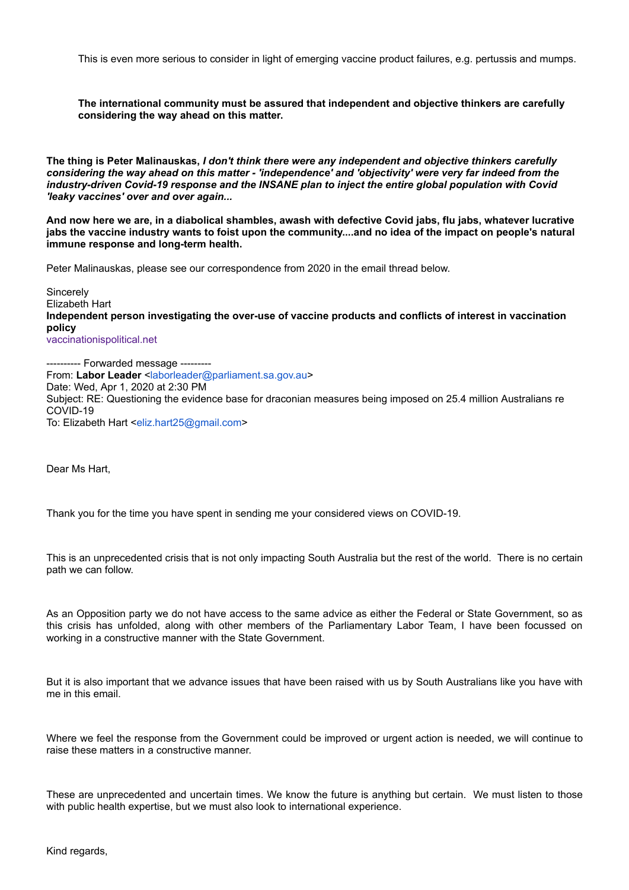This is even more serious to consider in light of emerging vaccine product failures, e.g. pertussis and mumps.

**The international community must be assured that independent and objective thinkers are carefully considering the way ahead on this matter.**

**The thing is Peter Malinauskas,** *I don't think there were any independent and objective thinkers carefully considering the way ahead on this matter - 'independence' and 'objectivity' were very far indeed from the industry-driven Covid-19 response and the INSANE plan to inject the entire global population with Covid 'leaky vaccines' over and over again...*

**And now here we are, in a diabolical shambles, awash with defective Covid jabs, flu jabs, whatever lucrative jabs the vaccine industry wants to foist upon the community....and no idea of the impact on people's natural immune response and long-term health.**

Peter Malinauskas, please see our correspondence from 2020 in the email thread below.

**Sincerely** Elizabeth Hart **Independent person investigating the over-use of vaccine products and conflicts of interest in vaccination policy** [vaccinationispolitical.net](http://vaccinationispolitical.net/)

---------- Forwarded message --------- From: Labor Leader [<laborleader@parliament.sa.gov.au>](mailto:laborleader@parliament.sa.gov.au) Date: Wed, Apr 1, 2020 at 2:30 PM Subject: RE: Questioning the evidence base for draconian measures being imposed on 25.4 million Australians re COVID-19 To: Elizabeth Hart <[eliz.hart25@gmail.com>](mailto:eliz.hart25@gmail.com)

Dear Ms Hart,

Thank you for the time you have spent in sending me your considered views on COVID-19.

This is an unprecedented crisis that is not only impacting South Australia but the rest of the world. There is no certain path we can follow.

As an Opposition party we do not have access to the same advice as either the Federal or State Government, so as this crisis has unfolded, along with other members of the Parliamentary Labor Team, I have been focussed on working in a constructive manner with the State Government.

But it is also important that we advance issues that have been raised with us by South Australians like you have with me in this email.

Where we feel the response from the Government could be improved or urgent action is needed, we will continue to raise these matters in a constructive manner.

These are unprecedented and uncertain times. We know the future is anything but certain. We must listen to those with public health expertise, but we must also look to international experience.

Kind regards,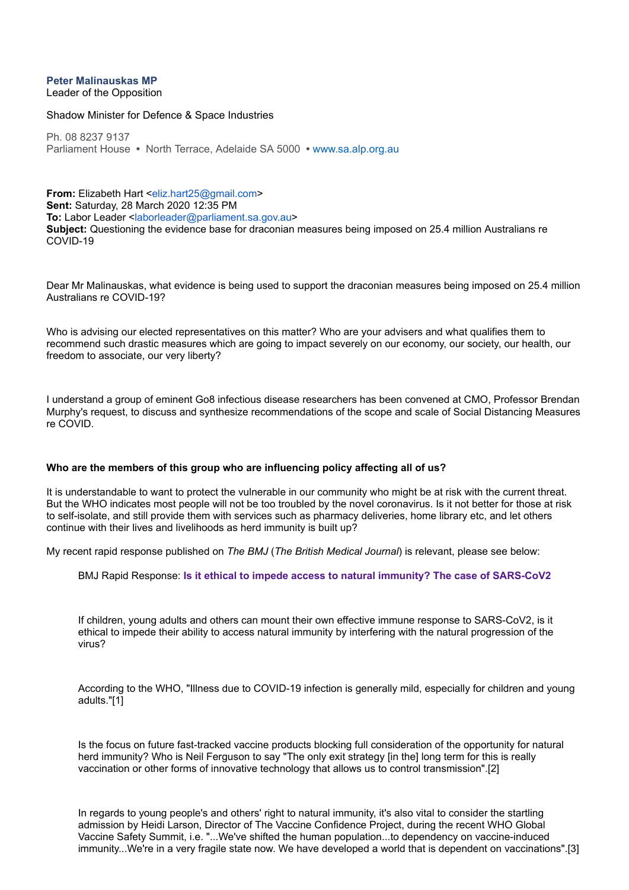## **Peter Malinauskas MP**

Leader of the Opposition

Shadow Minister for Defence & Space Industries

Ph. 08 8237 9137 Parliament House **•** North Terrace, Adelaide SA 5000 **•** [www.sa.alp.org.au](http://www.sa.alp.org.au/)

**From:** Elizabeth Hart <[eliz.hart25@gmail.com>](mailto:eliz.hart25@gmail.com) **Sent:** Saturday, 28 March 2020 12:35 PM **To:** Labor Leader [<laborleader@parliament.sa.gov.au](mailto:laborleader@parliament.sa.gov.au)> **Subject:** Questioning the evidence base for draconian measures being imposed on 25.4 million Australians re COVID-19

Dear Mr Malinauskas, what evidence is being used to support the draconian measures being imposed on 25.4 million Australians re COVID-19?

Who is advising our elected representatives on this matter? Who are your advisers and what qualifies them to recommend such drastic measures which are going to impact severely on our economy, our society, our health, our freedom to associate, our very liberty?

I understand a group of eminent Go8 infectious disease researchers has been convened at CMO, Professor Brendan Murphy's request, to discuss and synthesize recommendations of the scope and scale of Social Distancing Measures re COVID.

## **Who are the members of this group who are influencing policy affecting all of us?**

It is understandable to want to protect the vulnerable in our community who might be at risk with the current threat. But the WHO indicates most people will not be too troubled by the novel coronavirus. Is it not better for those at risk to self-isolate, and still provide them with services such as pharmacy deliveries, home library etc, and let others continue with their lives and livelihoods as herd immunity is built up?

My recent rapid response published on *The BMJ* (*The British Medical Journal*) is relevant, please see below:

BMJ Rapid Response: **Is [it ethical to impede access to natural immunity? The case of SARS-CoV2](https://aus01.safelinks.protection.outlook.com/?url=https%3A%2F%2Fwww.bmj.com%2Fcontent%2F368%2Fbmj.m1089%2Frr-6&data=02%7C01%7Claborleader%40parliament.sa.gov.au%7C6ca610a48ef740f34cef08d7d2bc78e4%7C694c9d7eafe6477eaa742b8fc75d86e8%7C0%7C0%7C637209579243473159&sdata=o3Z8ATX9p8hbHzfz63XW6fZnrO73M%2FK75GDIqzp7cws%3D&reserved=0)**

If children, young adults and others can mount their own effective immune response to SARS-CoV2, is it ethical to impede their ability to access natural immunity by interfering with the natural progression of the virus?

According to the WHO, "Illness due to COVID-19 infection is generally mild, especially for children and young adults."[1]

Is the focus on future fast-tracked vaccine products blocking full consideration of the opportunity for natural herd immunity? Who is Neil Ferguson to say "The only exit strategy [in the] long term for this is really vaccination or other forms of innovative technology that allows us to control transmission".[2]

In regards to young people's and others' right to natural immunity, it's also vital to consider the startling admission by Heidi Larson, Director of The Vaccine Confidence Project, during the recent WHO Global Vaccine Safety Summit, i.e. "...We've shifted the human population...to dependency on vaccine-induced immunity...We're in a very fragile state now. We have developed a world that is dependent on vaccinations".[3]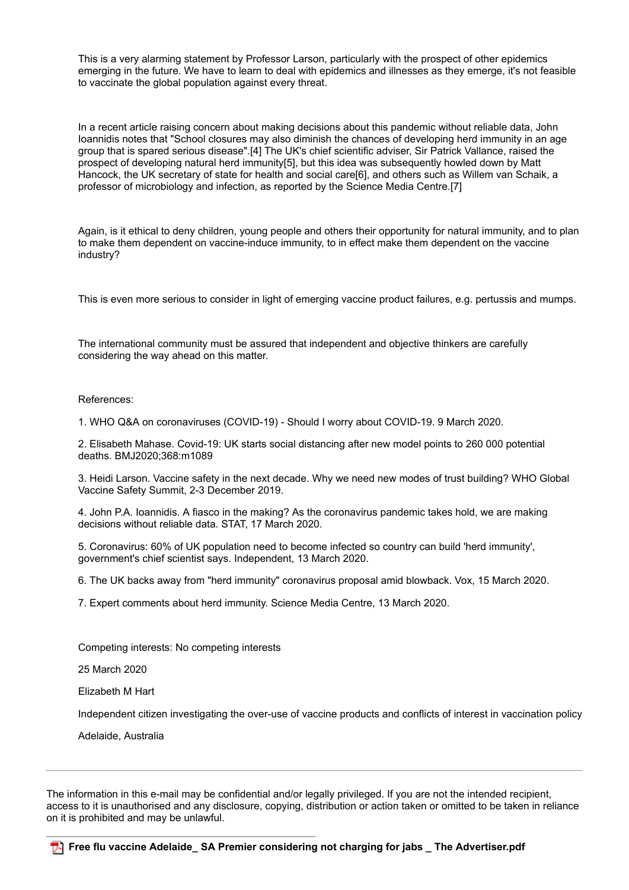This is a very alarming statement by Professor Larson, particularly with the prospect of other epidemics emerging in the future. We have to learn to deal with epidemics and illnesses as they emerge, it's not feasible to vaccinate the global population against every threat.

In a recent article raising concern about making decisions about this pandemic without reliable data, John Ioannidis notes that "School closures may also diminish the chances of developing herd immunity in an age group that is spared serious disease".[4] The UK's chief scientific adviser, Sir Patrick Vallance, raised the prospect of developing natural herd immunity[5], but this idea was subsequently howled down by Matt Hancock, the UK secretary of state for health and social care[6], and others such as Willem van Schaik, a professor of microbiology and infection, as reported by the Science Media Centre.[7]

Again, is it ethical to deny children, young people and others their opportunity for natural immunity, and to plan to make them dependent on vaccine-induce immunity, to in effect make them dependent on the vaccine industry?

This is even more serious to consider in light of emerging vaccine product failures, e.g. pertussis and mumps.

The international community must be assured that independent and objective thinkers are carefully considering the way ahead on this matter.

## References:

1. WHO Q&A on coronaviruses (COVID-19) - Should I worry about COVID-19. 9 March 2020.

2. Elisabeth Mahase. Covid-19: UK starts social distancing after new model points to 260 000 potential deaths. BMJ2020;368:m1089

3. Heidi Larson. Vaccine safety in the next decade. Why we need new modes of trust building? WHO Global Vaccine Safety Summit, 2-3 December 2019.

4. John P.A. Ioannidis. A fiasco in the making? As the coronavirus pandemic takes hold, we are making decisions without reliable data. STAT, 17 March 2020.

5. Coronavirus: 60% of UK population need to become infected so country can build 'herd immunity', government's chief scientist says. Independent, 13 March 2020.

6. The UK backs away from "herd immunity" coronavirus proposal amid blowback. Vox, 15 March 2020.

7. Expert comments about herd immunity. Science Media Centre, 13 March 2020.

Competing interests: No competing interests

25 March 2020

Elizabeth M Hart

Independent citizen investigating the over-use of vaccine products and conflicts of interest in vaccination policy

Adelaide, Australia

The information in this e-mail may be confidential and/or legally privileged. If you are not the intended recipient, access to it is unauthorised and any disclosure, copying, distribution or action taken or omitted to be taken in reliance on it is prohibited and may be unlawful.